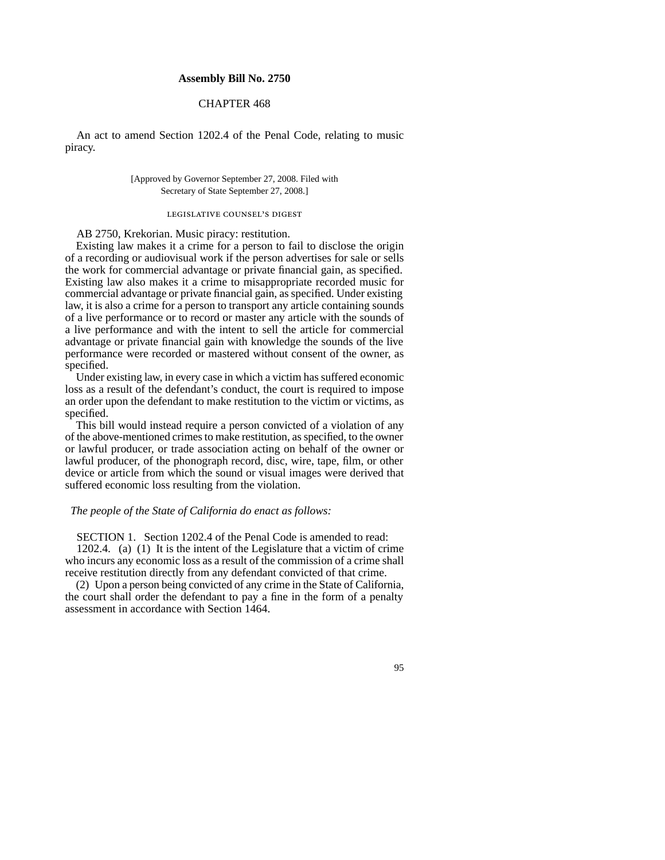## **Assembly Bill No. 2750**

# CHAPTER 468

An act to amend Section 1202.4 of the Penal Code, relating to music piracy.

### [Approved by Governor September 27, 2008. Filed with Secretary of State September 27, 2008.]

#### LEGISLATIVE COUNSEL'S DIGEST

AB 2750, Krekorian. Music piracy: restitution.

Existing law makes it a crime for a person to fail to disclose the origin of a recording or audiovisual work if the person advertises for sale or sells the work for commercial advantage or private financial gain, as specified. Existing law also makes it a crime to misappropriate recorded music for commercial advantage or private financial gain, as specified. Under existing law, it is also a crime for a person to transport any article containing sounds of a live performance or to record or master any article with the sounds of a live performance and with the intent to sell the article for commercial advantage or private financial gain with knowledge the sounds of the live performance were recorded or mastered without consent of the owner, as specified.

Under existing law, in every case in which a victim has suffered economic loss as a result of the defendant's conduct, the court is required to impose an order upon the defendant to make restitution to the victim or victims, as specified.

This bill would instead require a person convicted of a violation of any of the above-mentioned crimes to make restitution, as specified, to the owner or lawful producer, or trade association acting on behalf of the owner or lawful producer, of the phonograph record, disc, wire, tape, film, or other device or article from which the sound or visual images were derived that suffered economic loss resulting from the violation.

#### *The people of the State of California do enact as follows:*

SECTION 1. Section 1202.4 of the Penal Code is amended to read: 1202.4. (a) (1) It is the intent of the Legislature that a victim of crime who incurs any economic loss as a result of the commission of a crime shall receive restitution directly from any defendant convicted of that crime.

(2) Upon a person being convicted of any crime in the State of California, the court shall order the defendant to pay a fine in the form of a penalty assessment in accordance with Section 1464.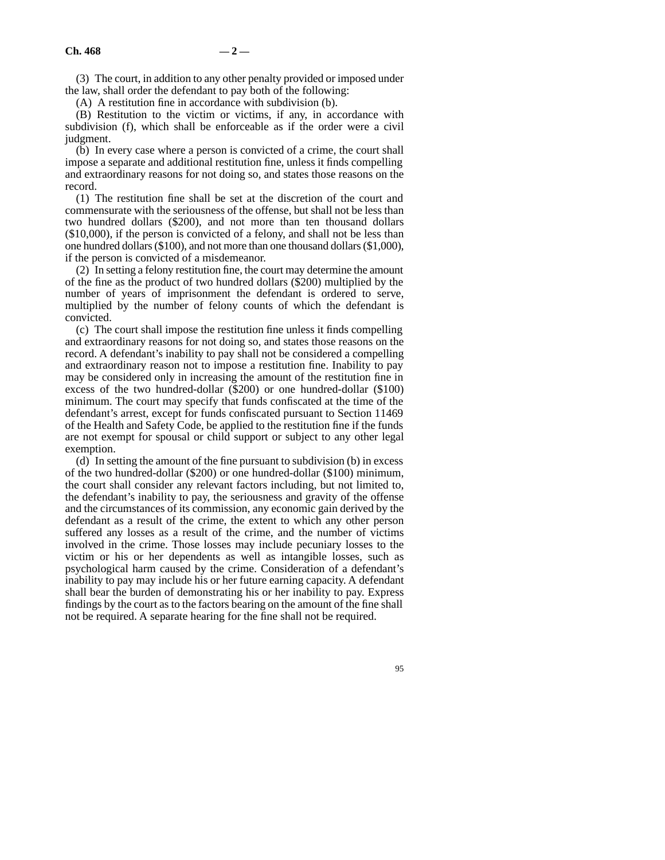(3) The court, in addition to any other penalty provided or imposed under the law, shall order the defendant to pay both of the following:

(A) A restitution fine in accordance with subdivision (b).

(B) Restitution to the victim or victims, if any, in accordance with subdivision (f), which shall be enforceable as if the order were a civil judgment.

(b) In every case where a person is convicted of a crime, the court shall impose a separate and additional restitution fine, unless it finds compelling and extraordinary reasons for not doing so, and states those reasons on the record.

(1) The restitution fine shall be set at the discretion of the court and commensurate with the seriousness of the offense, but shall not be less than two hundred dollars (\$200), and not more than ten thousand dollars (\$10,000), if the person is convicted of a felony, and shall not be less than one hundred dollars (\$100), and not more than one thousand dollars (\$1,000), if the person is convicted of a misdemeanor.

(2) In setting a felony restitution fine, the court may determine the amount of the fine as the product of two hundred dollars (\$200) multiplied by the number of years of imprisonment the defendant is ordered to serve, multiplied by the number of felony counts of which the defendant is convicted.

(c) The court shall impose the restitution fine unless it finds compelling and extraordinary reasons for not doing so, and states those reasons on the record. A defendant's inability to pay shall not be considered a compelling and extraordinary reason not to impose a restitution fine. Inability to pay may be considered only in increasing the amount of the restitution fine in excess of the two hundred-dollar (\$200) or one hundred-dollar (\$100) minimum. The court may specify that funds confiscated at the time of the defendant's arrest, except for funds confiscated pursuant to Section 11469 of the Health and Safety Code, be applied to the restitution fine if the funds are not exempt for spousal or child support or subject to any other legal exemption.

(d) In setting the amount of the fine pursuant to subdivision (b) in excess of the two hundred-dollar (\$200) or one hundred-dollar (\$100) minimum, the court shall consider any relevant factors including, but not limited to, the defendant's inability to pay, the seriousness and gravity of the offense and the circumstances of its commission, any economic gain derived by the defendant as a result of the crime, the extent to which any other person suffered any losses as a result of the crime, and the number of victims involved in the crime. Those losses may include pecuniary losses to the victim or his or her dependents as well as intangible losses, such as psychological harm caused by the crime. Consideration of a defendant's inability to pay may include his or her future earning capacity. A defendant shall bear the burden of demonstrating his or her inability to pay. Express findings by the court as to the factors bearing on the amount of the fine shall not be required. A separate hearing for the fine shall not be required.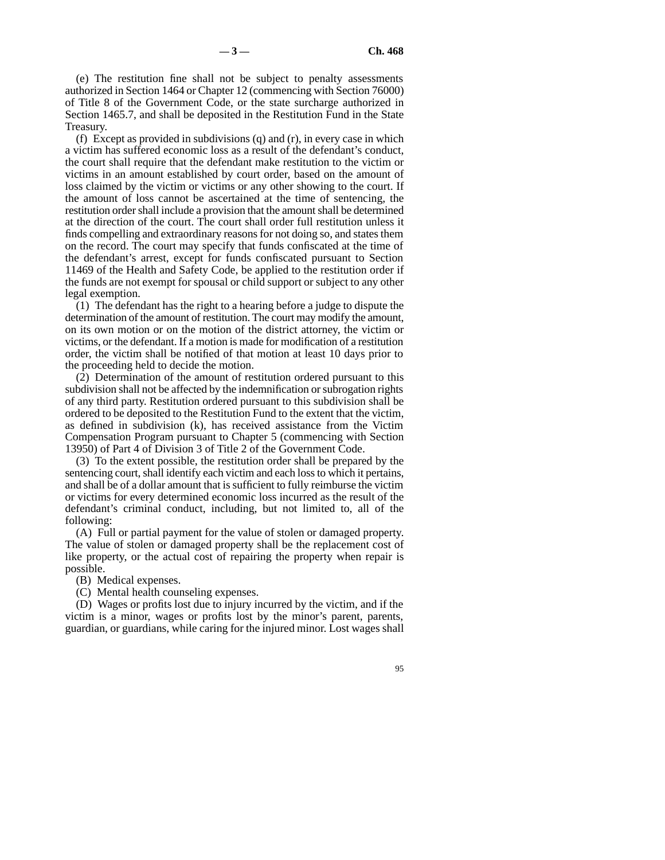$-3 -$  **Ch.** 468

(e) The restitution fine shall not be subject to penalty assessments authorized in Section 1464 or Chapter 12 (commencing with Section 76000) of Title 8 of the Government Code, or the state surcharge authorized in Section 1465.7, and shall be deposited in the Restitution Fund in the State Treasury.

(f) Except as provided in subdivisions (q) and (r), in every case in which a victim has suffered economic loss as a result of the defendant's conduct, the court shall require that the defendant make restitution to the victim or victims in an amount established by court order, based on the amount of loss claimed by the victim or victims or any other showing to the court. If the amount of loss cannot be ascertained at the time of sentencing, the restitution order shall include a provision that the amount shall be determined at the direction of the court. The court shall order full restitution unless it finds compelling and extraordinary reasons for not doing so, and states them on the record. The court may specify that funds confiscated at the time of the defendant's arrest, except for funds confiscated pursuant to Section 11469 of the Health and Safety Code, be applied to the restitution order if the funds are not exempt for spousal or child support or subject to any other legal exemption.

(1) The defendant has the right to a hearing before a judge to dispute the determination of the amount of restitution. The court may modify the amount, on its own motion or on the motion of the district attorney, the victim or victims, or the defendant. If a motion is made for modification of a restitution order, the victim shall be notified of that motion at least 10 days prior to the proceeding held to decide the motion.

(2) Determination of the amount of restitution ordered pursuant to this subdivision shall not be affected by the indemnification or subrogation rights of any third party. Restitution ordered pursuant to this subdivision shall be ordered to be deposited to the Restitution Fund to the extent that the victim, as defined in subdivision (k), has received assistance from the Victim Compensation Program pursuant to Chapter 5 (commencing with Section 13950) of Part 4 of Division 3 of Title 2 of the Government Code.

(3) To the extent possible, the restitution order shall be prepared by the sentencing court, shall identify each victim and each loss to which it pertains, and shall be of a dollar amount that is sufficient to fully reimburse the victim or victims for every determined economic loss incurred as the result of the defendant's criminal conduct, including, but not limited to, all of the following:

(A) Full or partial payment for the value of stolen or damaged property. The value of stolen or damaged property shall be the replacement cost of like property, or the actual cost of repairing the property when repair is possible.

(B) Medical expenses.

(C) Mental health counseling expenses.

(D) Wages or profits lost due to injury incurred by the victim, and if the victim is a minor, wages or profits lost by the minor's parent, parents, guardian, or guardians, while caring for the injured minor. Lost wages shall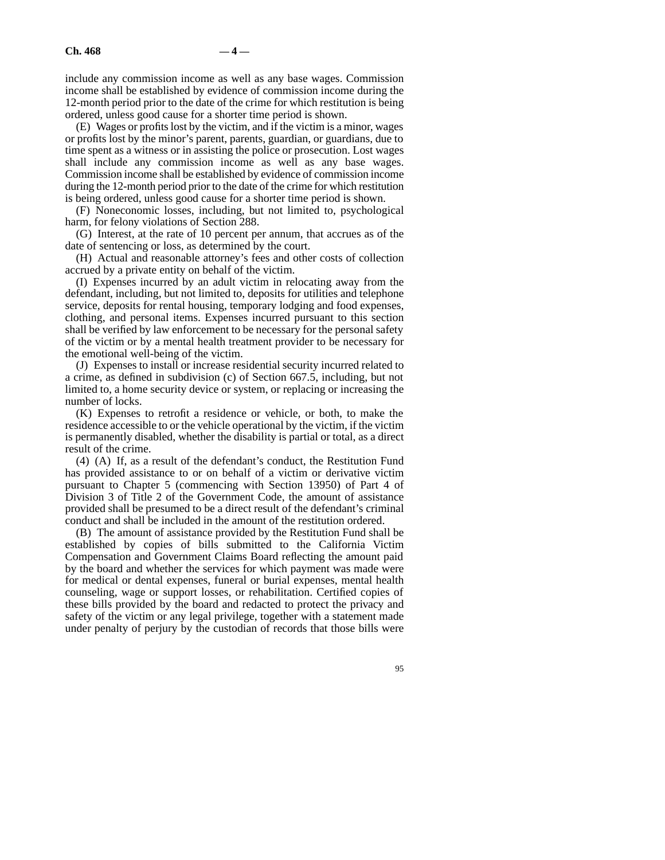include any commission income as well as any base wages. Commission income shall be established by evidence of commission income during the 12-month period prior to the date of the crime for which restitution is being ordered, unless good cause for a shorter time period is shown.

(E) Wages or profits lost by the victim, and if the victim is a minor, wages or profits lost by the minor's parent, parents, guardian, or guardians, due to time spent as a witness or in assisting the police or prosecution. Lost wages shall include any commission income as well as any base wages. Commission income shall be established by evidence of commission income during the 12-month period prior to the date of the crime for which restitution is being ordered, unless good cause for a shorter time period is shown.

(F) Noneconomic losses, including, but not limited to, psychological harm, for felony violations of Section 288.

(G) Interest, at the rate of 10 percent per annum, that accrues as of the date of sentencing or loss, as determined by the court.

(H) Actual and reasonable attorney's fees and other costs of collection accrued by a private entity on behalf of the victim.

(I) Expenses incurred by an adult victim in relocating away from the defendant, including, but not limited to, deposits for utilities and telephone service, deposits for rental housing, temporary lodging and food expenses, clothing, and personal items. Expenses incurred pursuant to this section shall be verified by law enforcement to be necessary for the personal safety of the victim or by a mental health treatment provider to be necessary for the emotional well-being of the victim.

(J) Expenses to install or increase residential security incurred related to a crime, as defined in subdivision (c) of Section 667.5, including, but not limited to, a home security device or system, or replacing or increasing the number of locks.

(K) Expenses to retrofit a residence or vehicle, or both, to make the residence accessible to or the vehicle operational by the victim, if the victim is permanently disabled, whether the disability is partial or total, as a direct result of the crime.

(4) (A) If, as a result of the defendant's conduct, the Restitution Fund has provided assistance to or on behalf of a victim or derivative victim pursuant to Chapter 5 (commencing with Section 13950) of Part 4 of Division 3 of Title 2 of the Government Code, the amount of assistance provided shall be presumed to be a direct result of the defendant's criminal conduct and shall be included in the amount of the restitution ordered.

(B) The amount of assistance provided by the Restitution Fund shall be established by copies of bills submitted to the California Victim Compensation and Government Claims Board reflecting the amount paid by the board and whether the services for which payment was made were for medical or dental expenses, funeral or burial expenses, mental health counseling, wage or support losses, or rehabilitation. Certified copies of these bills provided by the board and redacted to protect the privacy and safety of the victim or any legal privilege, together with a statement made under penalty of perjury by the custodian of records that those bills were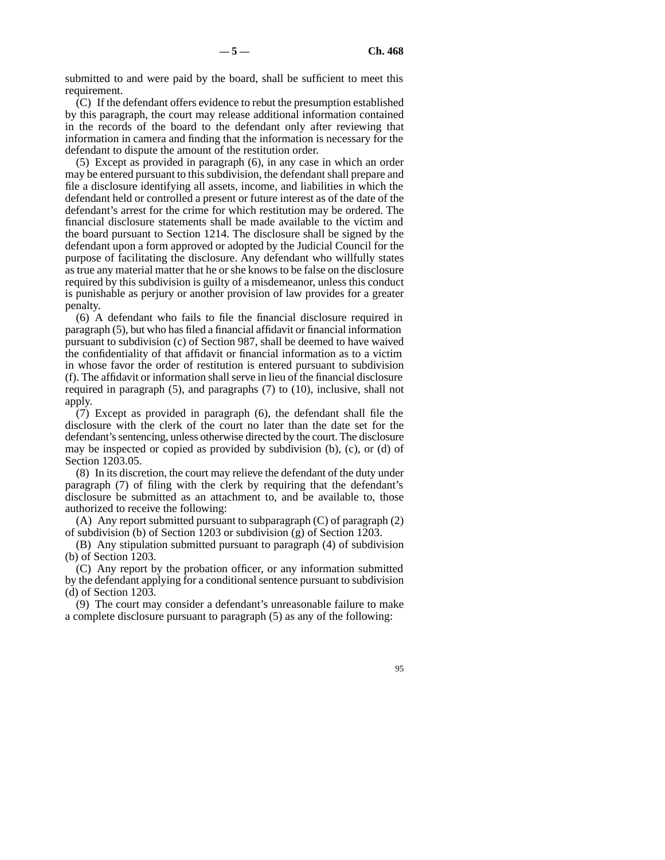submitted to and were paid by the board, shall be sufficient to meet this requirement.

(C) If the defendant offers evidence to rebut the presumption established by this paragraph, the court may release additional information contained in the records of the board to the defendant only after reviewing that information in camera and finding that the information is necessary for the defendant to dispute the amount of the restitution order.

(5) Except as provided in paragraph (6), in any case in which an order may be entered pursuant to this subdivision, the defendant shall prepare and file a disclosure identifying all assets, income, and liabilities in which the defendant held or controlled a present or future interest as of the date of the defendant's arrest for the crime for which restitution may be ordered. The financial disclosure statements shall be made available to the victim and the board pursuant to Section 1214. The disclosure shall be signed by the defendant upon a form approved or adopted by the Judicial Council for the purpose of facilitating the disclosure. Any defendant who willfully states as true any material matter that he or she knows to be false on the disclosure required by this subdivision is guilty of a misdemeanor, unless this conduct is punishable as perjury or another provision of law provides for a greater penalty.

(6) A defendant who fails to file the financial disclosure required in paragraph (5), but who has filed a financial affidavit or financial information pursuant to subdivision (c) of Section 987, shall be deemed to have waived the confidentiality of that affidavit or financial information as to a victim in whose favor the order of restitution is entered pursuant to subdivision (f). The affidavit or information shall serve in lieu of the financial disclosure required in paragraph (5), and paragraphs (7) to (10), inclusive, shall not apply.

(7) Except as provided in paragraph (6), the defendant shall file the disclosure with the clerk of the court no later than the date set for the defendant's sentencing, unless otherwise directed by the court. The disclosure may be inspected or copied as provided by subdivision (b), (c), or (d) of Section 1203.05.

(8) In its discretion, the court may relieve the defendant of the duty under paragraph (7) of filing with the clerk by requiring that the defendant's disclosure be submitted as an attachment to, and be available to, those authorized to receive the following:

(A) Any report submitted pursuant to subparagraph (C) of paragraph (2) of subdivision (b) of Section 1203 or subdivision (g) of Section 1203.

(B) Any stipulation submitted pursuant to paragraph (4) of subdivision (b) of Section 1203.

(C) Any report by the probation officer, or any information submitted by the defendant applying for a conditional sentence pursuant to subdivision (d) of Section 1203.

(9) The court may consider a defendant's unreasonable failure to make a complete disclosure pursuant to paragraph (5) as any of the following: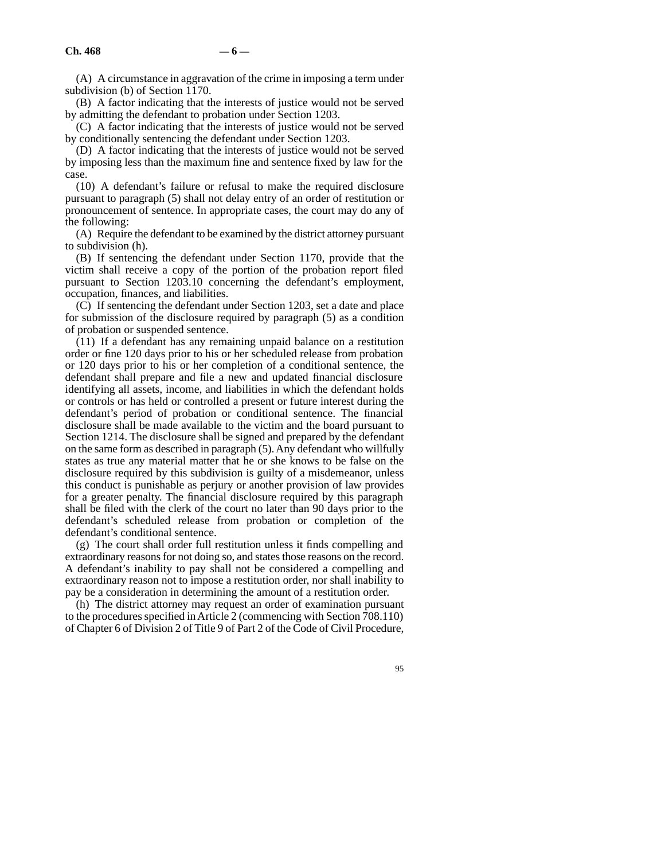(A) A circumstance in aggravation of the crime in imposing a term under subdivision (b) of Section 1170.

(B) A factor indicating that the interests of justice would not be served by admitting the defendant to probation under Section 1203.

(C) A factor indicating that the interests of justice would not be served by conditionally sentencing the defendant under Section 1203.

(D) A factor indicating that the interests of justice would not be served by imposing less than the maximum fine and sentence fixed by law for the case.

(10) A defendant's failure or refusal to make the required disclosure pursuant to paragraph (5) shall not delay entry of an order of restitution or pronouncement of sentence. In appropriate cases, the court may do any of the following:

(A) Require the defendant to be examined by the district attorney pursuant to subdivision (h).

(B) If sentencing the defendant under Section 1170, provide that the victim shall receive a copy of the portion of the probation report filed pursuant to Section 1203.10 concerning the defendant's employment, occupation, finances, and liabilities.

(C) If sentencing the defendant under Section 1203, set a date and place for submission of the disclosure required by paragraph (5) as a condition of probation or suspended sentence.

 $(11)$  If a defendant has any remaining unpaid balance on a restitution order or fine 120 days prior to his or her scheduled release from probation or 120 days prior to his or her completion of a conditional sentence, the defendant shall prepare and file a new and updated financial disclosure identifying all assets, income, and liabilities in which the defendant holds or controls or has held or controlled a present or future interest during the defendant's period of probation or conditional sentence. The financial disclosure shall be made available to the victim and the board pursuant to Section 1214. The disclosure shall be signed and prepared by the defendant on the same form as described in paragraph (5). Any defendant who willfully states as true any material matter that he or she knows to be false on the disclosure required by this subdivision is guilty of a misdemeanor, unless this conduct is punishable as perjury or another provision of law provides for a greater penalty. The financial disclosure required by this paragraph shall be filed with the clerk of the court no later than 90 days prior to the defendant's scheduled release from probation or completion of the defendant's conditional sentence.

(g) The court shall order full restitution unless it finds compelling and extraordinary reasons for not doing so, and states those reasons on the record. A defendant's inability to pay shall not be considered a compelling and extraordinary reason not to impose a restitution order, nor shall inability to pay be a consideration in determining the amount of a restitution order.

(h) The district attorney may request an order of examination pursuant to the procedures specified in Article 2 (commencing with Section 708.110) of Chapter 6 of Division 2 of Title 9 of Part 2 of the Code of Civil Procedure,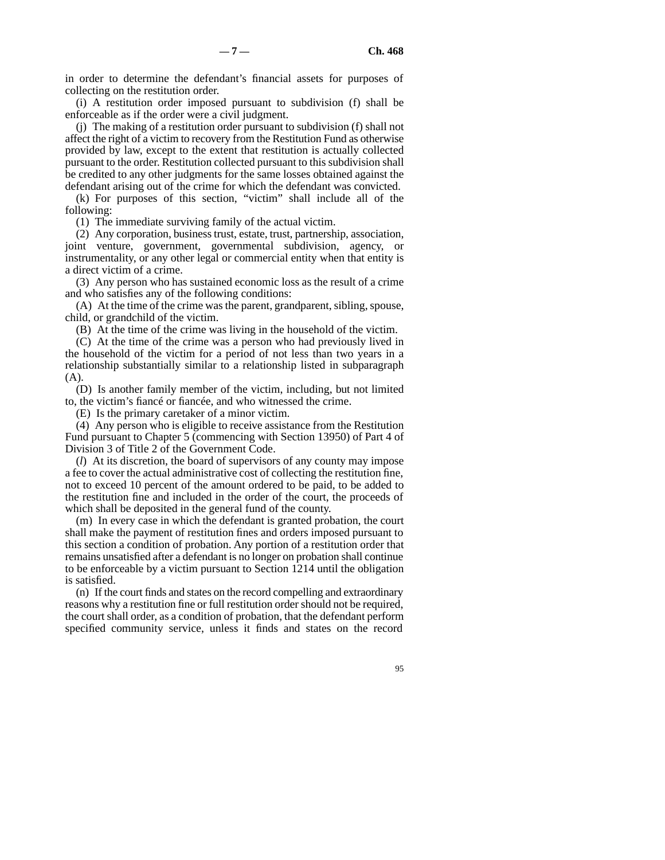in order to determine the defendant's financial assets for purposes of collecting on the restitution order.

(i) A restitution order imposed pursuant to subdivision (f) shall be enforceable as if the order were a civil judgment.

(j) The making of a restitution order pursuant to subdivision (f) shall not affect the right of a victim to recovery from the Restitution Fund as otherwise provided by law, except to the extent that restitution is actually collected pursuant to the order. Restitution collected pursuant to this subdivision shall be credited to any other judgments for the same losses obtained against the defendant arising out of the crime for which the defendant was convicted.

(k) For purposes of this section, "victim" shall include all of the following:

(1) The immediate surviving family of the actual victim.

(2) Any corporation, business trust, estate, trust, partnership, association, joint venture, government, governmental subdivision, agency, or instrumentality, or any other legal or commercial entity when that entity is a direct victim of a crime.

(3) Any person who has sustained economic loss as the result of a crime and who satisfies any of the following conditions:

(A) At the time of the crime was the parent, grandparent, sibling, spouse, child, or grandchild of the victim.

(B) At the time of the crime was living in the household of the victim.

(C) At the time of the crime was a person who had previously lived in the household of the victim for a period of not less than two years in a relationship substantially similar to a relationship listed in subparagraph (A).

(D) Is another family member of the victim, including, but not limited to, the victim's fiancé or fiancée, and who witnessed the crime.

(E) Is the primary caretaker of a minor victim.

(4) Any person who is eligible to receive assistance from the Restitution Fund pursuant to Chapter 5 (commencing with Section 13950) of Part 4 of Division 3 of Title 2 of the Government Code.

(*l*) At its discretion, the board of supervisors of any county may impose a fee to cover the actual administrative cost of collecting the restitution fine, not to exceed 10 percent of the amount ordered to be paid, to be added to the restitution fine and included in the order of the court, the proceeds of which shall be deposited in the general fund of the county.

(m) In every case in which the defendant is granted probation, the court shall make the payment of restitution fines and orders imposed pursuant to this section a condition of probation. Any portion of a restitution order that remains unsatisfied after a defendant is no longer on probation shall continue to be enforceable by a victim pursuant to Section 1214 until the obligation is satisfied.

(n) If the court finds and states on the record compelling and extraordinary reasons why a restitution fine or full restitution order should not be required, the court shall order, as a condition of probation, that the defendant perform specified community service, unless it finds and states on the record